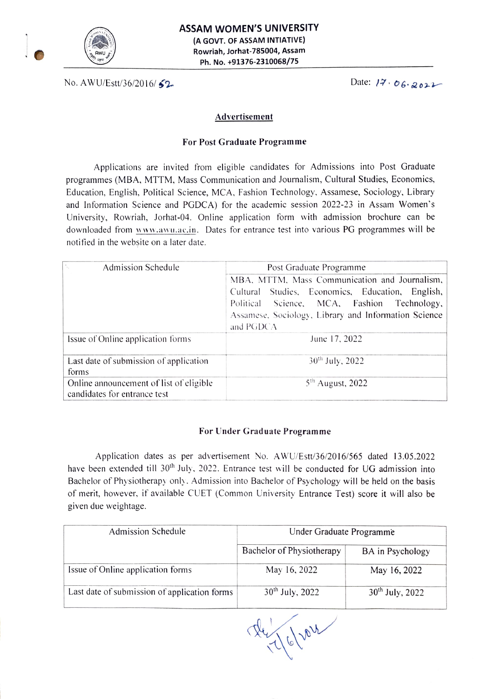

No. AWU/Estt/36/2016/ 62

## Advertisement

## For Post Graduate Programme

Applications are invited from eligible candidates for Admissions into Post Graduate programmes (MBA, MTTM, Mass Communication and Journalism, Cultural Studies, Economics Education, English, Political Science, MCA, Fashion Technology, Assamese, Sociology, Library and Information Science and PGDCA) for the academic session 2022-23 in Assam Women's University, Rowriah, Jorhat-04. Online application form with admission brochure can be downloaded from www.awu.ac.in. Dates for entrance test into various PG programmes will be notified in the website on a later date.

| N.<br>Admission Schedule                                                | Post Graduate Programme<br>MBA, MTTM, Mass Communication and Journalism, |  |  |
|-------------------------------------------------------------------------|--------------------------------------------------------------------------|--|--|
|                                                                         |                                                                          |  |  |
|                                                                         | Cultural Studies, Economics, Education, English,                         |  |  |
|                                                                         | Political Science, MCA, Fashion Technology,                              |  |  |
|                                                                         | Assamese, Sociology, Library and Information Science<br>and PGDCA        |  |  |
|                                                                         |                                                                          |  |  |
| Issue of Online application forms                                       | June 17, 2022                                                            |  |  |
| Last date of submission of application<br>forms                         | $30^{th}$ July, 2022                                                     |  |  |
|                                                                         |                                                                          |  |  |
| Online announcement of list of eligible<br>candidates for entrance test | $5th$ August, 2022                                                       |  |  |

## For Under Graduate Programme

Application dates as per advertisement No. AWU/Est/36/2016/565 dated 13.05.2022 have been extended till 30<sup>th</sup> July, 2022. Entrance test will be conducted for UG admission into Bachelor of Physiotherapy only. Admission into Bachelor of Psychology will be held on the basis of merit, however, if available CUET (Common University Entrance Test) score it will also be given due weightage.

| Admission Schedule                           | Under Graduate Programme  |                      |
|----------------------------------------------|---------------------------|----------------------|
|                                              | Bachelor of Physiotherapy | BA in Psychology     |
| Issue of Online application forms            | May 16, 2022              | May 16, 2022         |
| Last date of submission of application forms | $30^{th}$ July, 2022      | $30^{th}$ July, 2022 |

16/2022